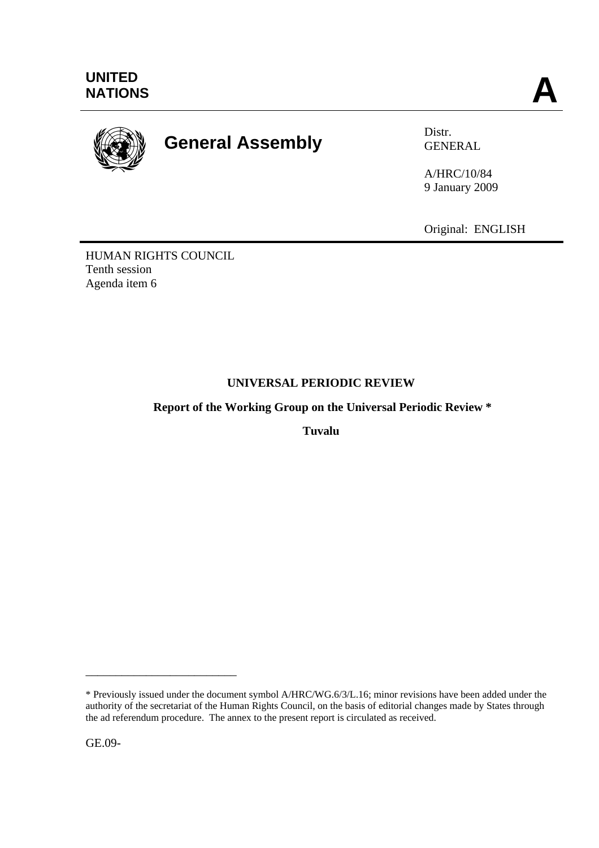

# **General Assembly** Distr.

GENERAL

A/HRC/10/84 9 January 2009

Original: ENGLISH

HUMAN RIGHTS COUNCIL Tenth session Agenda item 6

## **UNIVERSAL PERIODIC REVIEW**

 **Report of the Working Group on the Universal Periodic Review \*** 

**Tuvalu** 

GE.09-

\_\_\_\_\_\_\_\_\_\_\_\_\_\_\_\_\_\_\_\_\_\_\_\_\_

<sup>\*</sup> Previously issued under the document symbol A/HRC/WG.6/3/L.16; minor revisions have been added under the authority of the secretariat of the Human Rights Council, on the basis of editorial changes made by States through the ad referendum procedure. The annex to the present report is circulated as received.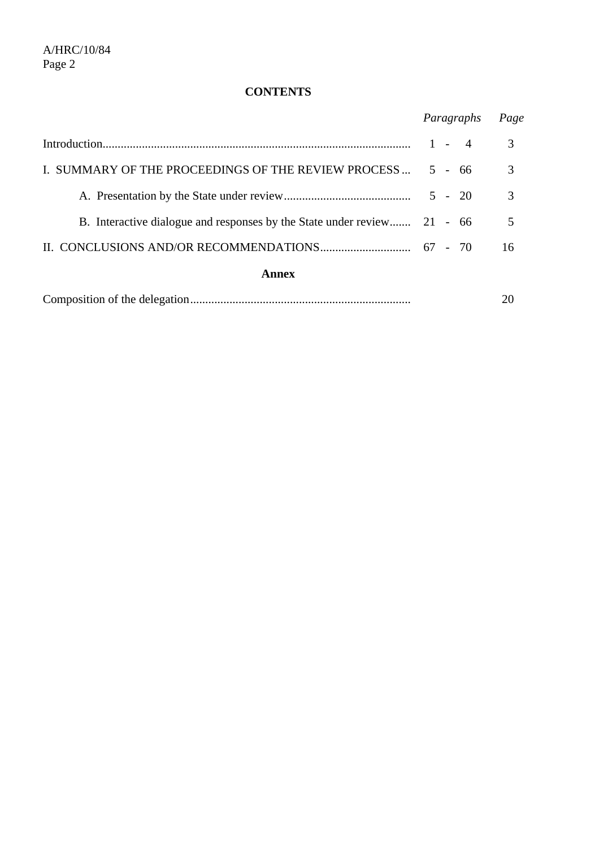### **CONTENTS**

|                                                                         | Paragraphs | Page |
|-------------------------------------------------------------------------|------------|------|
|                                                                         | $1 - 4$    | 3    |
| I. SUMMARY OF THE PROCEEDINGS OF THE REVIEW PROCESS                     | $5 - 66$   | 3    |
|                                                                         | $5 - 20$   | 3    |
| B. Interactive dialogue and responses by the State under review 21 - 66 |            | 5    |
|                                                                         |            | 16   |
| Annex                                                                   |            |      |
|                                                                         |            |      |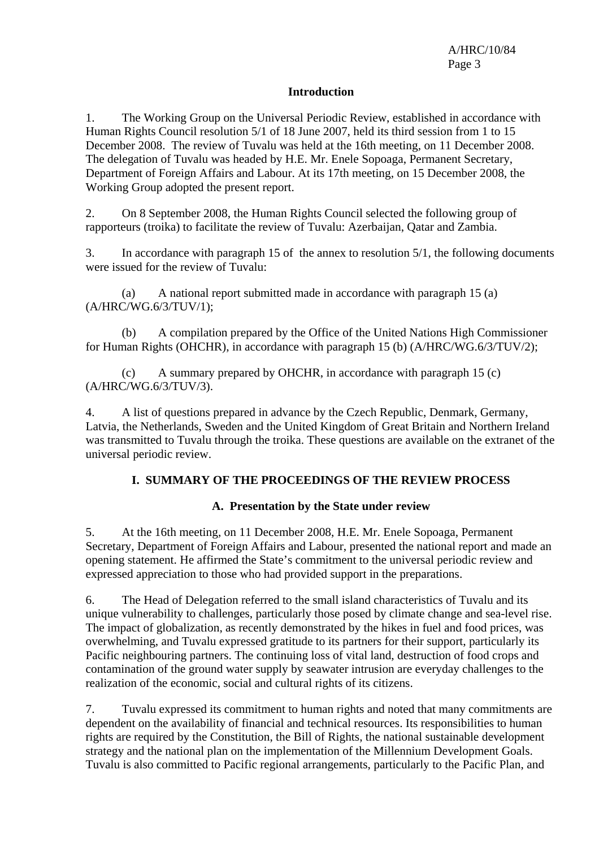#### **Introduction**

1. The Working Group on the Universal Periodic Review, established in accordance with Human Rights Council resolution 5/1 of 18 June 2007, held its third session from 1 to 15 December 2008. The review of Tuvalu was held at the 16th meeting, on 11 December 2008. The delegation of Tuvalu was headed by H.E. Mr. Enele Sopoaga, Permanent Secretary, Department of Foreign Affairs and Labour. At its 17th meeting, on 15 December 2008, the Working Group adopted the present report.

2. On 8 September 2008, the Human Rights Council selected the following group of rapporteurs (troika) to facilitate the review of Tuvalu: Azerbaijan, Qatar and Zambia.

3. In accordance with paragraph 15 of the annex to resolution 5/1, the following documents were issued for the review of Tuvalu:

 (a) A national report submitted made in accordance with paragraph 15 (a) (A/HRC/WG.6/3/TUV/1);

 (b) A compilation prepared by the Office of the United Nations High Commissioner for Human Rights (OHCHR), in accordance with paragraph 15 (b) (A/HRC/WG.6/3/TUV/2);

 (c) A summary prepared by OHCHR, in accordance with paragraph 15 (c) (A/HRC/WG.6/3/TUV/3).

4. A list of questions prepared in advance by the Czech Republic, Denmark, Germany, Latvia, the Netherlands, Sweden and the United Kingdom of Great Britain and Northern Ireland was transmitted to Tuvalu through the troika. These questions are available on the extranet of the universal periodic review.

#### **I. SUMMARY OF THE PROCEEDINGS OF THE REVIEW PROCESS**

#### **A. Presentation by the State under review**

5. At the 16th meeting, on 11 December 2008, H.E. Mr. Enele Sopoaga, Permanent Secretary, Department of Foreign Affairs and Labour, presented the national report and made an opening statement. He affirmed the State's commitment to the universal periodic review and expressed appreciation to those who had provided support in the preparations.

6. The Head of Delegation referred to the small island characteristics of Tuvalu and its unique vulnerability to challenges, particularly those posed by climate change and sea-level rise. The impact of globalization, as recently demonstrated by the hikes in fuel and food prices, was overwhelming, and Tuvalu expressed gratitude to its partners for their support, particularly its Pacific neighbouring partners. The continuing loss of vital land, destruction of food crops and contamination of the ground water supply by seawater intrusion are everyday challenges to the realization of the economic, social and cultural rights of its citizens.

7. Tuvalu expressed its commitment to human rights and noted that many commitments are dependent on the availability of financial and technical resources. Its responsibilities to human rights are required by the Constitution, the Bill of Rights, the national sustainable development strategy and the national plan on the implementation of the Millennium Development Goals. Tuvalu is also committed to Pacific regional arrangements, particularly to the Pacific Plan, and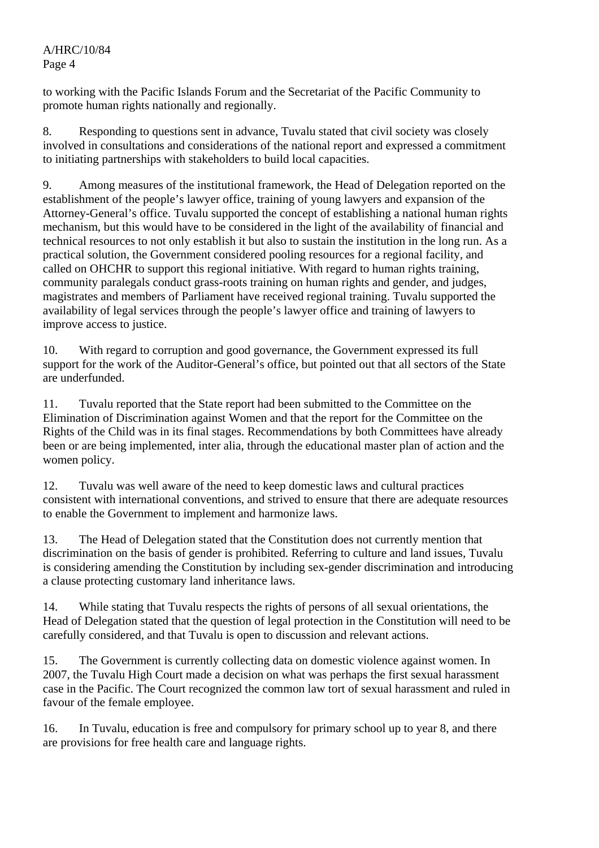to working with the Pacific Islands Forum and the Secretariat of the Pacific Community to promote human rights nationally and regionally.

8. Responding to questions sent in advance, Tuvalu stated that civil society was closely involved in consultations and considerations of the national report and expressed a commitment to initiating partnerships with stakeholders to build local capacities.

9. Among measures of the institutional framework, the Head of Delegation reported on the establishment of the people's lawyer office, training of young lawyers and expansion of the Attorney-General's office. Tuvalu supported the concept of establishing a national human rights mechanism, but this would have to be considered in the light of the availability of financial and technical resources to not only establish it but also to sustain the institution in the long run. As a practical solution, the Government considered pooling resources for a regional facility, and called on OHCHR to support this regional initiative. With regard to human rights training, community paralegals conduct grass-roots training on human rights and gender, and judges, magistrates and members of Parliament have received regional training. Tuvalu supported the availability of legal services through the people's lawyer office and training of lawyers to improve access to justice.

10. With regard to corruption and good governance, the Government expressed its full support for the work of the Auditor-General's office, but pointed out that all sectors of the State are underfunded.

11. Tuvalu reported that the State report had been submitted to the Committee on the Elimination of Discrimination against Women and that the report for the Committee on the Rights of the Child was in its final stages. Recommendations by both Committees have already been or are being implemented, inter alia, through the educational master plan of action and the women policy.

12. Tuvalu was well aware of the need to keep domestic laws and cultural practices consistent with international conventions, and strived to ensure that there are adequate resources to enable the Government to implement and harmonize laws.

13. The Head of Delegation stated that the Constitution does not currently mention that discrimination on the basis of gender is prohibited. Referring to culture and land issues, Tuvalu is considering amending the Constitution by including sex-gender discrimination and introducing a clause protecting customary land inheritance laws.

14. While stating that Tuvalu respects the rights of persons of all sexual orientations, the Head of Delegation stated that the question of legal protection in the Constitution will need to be carefully considered, and that Tuvalu is open to discussion and relevant actions.

15. The Government is currently collecting data on domestic violence against women. In 2007, the Tuvalu High Court made a decision on what was perhaps the first sexual harassment case in the Pacific. The Court recognized the common law tort of sexual harassment and ruled in favour of the female employee.

16. In Tuvalu, education is free and compulsory for primary school up to year 8, and there are provisions for free health care and language rights.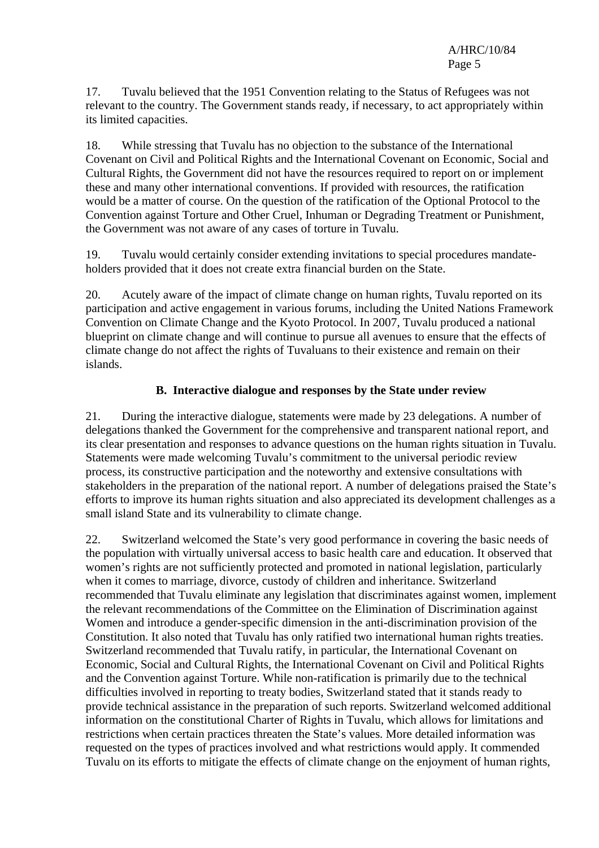17. Tuvalu believed that the 1951 Convention relating to the Status of Refugees was not relevant to the country. The Government stands ready, if necessary, to act appropriately within its limited capacities.

18. While stressing that Tuvalu has no objection to the substance of the International Covenant on Civil and Political Rights and the International Covenant on Economic, Social and Cultural Rights, the Government did not have the resources required to report on or implement these and many other international conventions. If provided with resources, the ratification would be a matter of course. On the question of the ratification of the Optional Protocol to the Convention against Torture and Other Cruel, Inhuman or Degrading Treatment or Punishment, the Government was not aware of any cases of torture in Tuvalu.

19. Tuvalu would certainly consider extending invitations to special procedures mandateholders provided that it does not create extra financial burden on the State.

20. Acutely aware of the impact of climate change on human rights, Tuvalu reported on its participation and active engagement in various forums, including the United Nations Framework Convention on Climate Change and the Kyoto Protocol. In 2007, Tuvalu produced a national blueprint on climate change and will continue to pursue all avenues to ensure that the effects of climate change do not affect the rights of Tuvaluans to their existence and remain on their islands.

#### **B. Interactive dialogue and responses by the State under review**

21. During the interactive dialogue, statements were made by 23 delegations. A number of delegations thanked the Government for the comprehensive and transparent national report, and its clear presentation and responses to advance questions on the human rights situation in Tuvalu. Statements were made welcoming Tuvalu's commitment to the universal periodic review process, its constructive participation and the noteworthy and extensive consultations with stakeholders in the preparation of the national report. A number of delegations praised the State's efforts to improve its human rights situation and also appreciated its development challenges as a small island State and its vulnerability to climate change.

22. Switzerland welcomed the State's very good performance in covering the basic needs of the population with virtually universal access to basic health care and education. It observed that women's rights are not sufficiently protected and promoted in national legislation, particularly when it comes to marriage, divorce, custody of children and inheritance. Switzerland recommended that Tuvalu eliminate any legislation that discriminates against women, implement the relevant recommendations of the Committee on the Elimination of Discrimination against Women and introduce a gender-specific dimension in the anti-discrimination provision of the Constitution. It also noted that Tuvalu has only ratified two international human rights treaties. Switzerland recommended that Tuvalu ratify, in particular, the International Covenant on Economic, Social and Cultural Rights, the International Covenant on Civil and Political Rights and the Convention against Torture. While non-ratification is primarily due to the technical difficulties involved in reporting to treaty bodies, Switzerland stated that it stands ready to provide technical assistance in the preparation of such reports. Switzerland welcomed additional information on the constitutional Charter of Rights in Tuvalu, which allows for limitations and restrictions when certain practices threaten the State's values. More detailed information was requested on the types of practices involved and what restrictions would apply. It commended Tuvalu on its efforts to mitigate the effects of climate change on the enjoyment of human rights,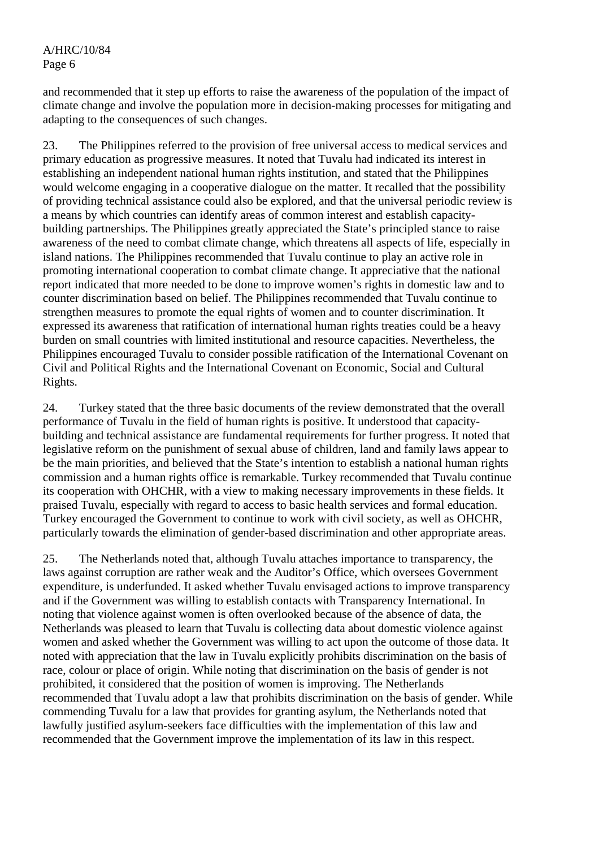and recommended that it step up efforts to raise the awareness of the population of the impact of climate change and involve the population more in decision-making processes for mitigating and adapting to the consequences of such changes.

23. The Philippines referred to the provision of free universal access to medical services and primary education as progressive measures. It noted that Tuvalu had indicated its interest in establishing an independent national human rights institution, and stated that the Philippines would welcome engaging in a cooperative dialogue on the matter. It recalled that the possibility of providing technical assistance could also be explored, and that the universal periodic review is a means by which countries can identify areas of common interest and establish capacitybuilding partnerships. The Philippines greatly appreciated the State's principled stance to raise awareness of the need to combat climate change, which threatens all aspects of life, especially in island nations. The Philippines recommended that Tuvalu continue to play an active role in promoting international cooperation to combat climate change. It appreciative that the national report indicated that more needed to be done to improve women's rights in domestic law and to counter discrimination based on belief. The Philippines recommended that Tuvalu continue to strengthen measures to promote the equal rights of women and to counter discrimination. It expressed its awareness that ratification of international human rights treaties could be a heavy burden on small countries with limited institutional and resource capacities. Nevertheless, the Philippines encouraged Tuvalu to consider possible ratification of the International Covenant on Civil and Political Rights and the International Covenant on Economic, Social and Cultural Rights.

24. Turkey stated that the three basic documents of the review demonstrated that the overall performance of Tuvalu in the field of human rights is positive. It understood that capacitybuilding and technical assistance are fundamental requirements for further progress. It noted that legislative reform on the punishment of sexual abuse of children, land and family laws appear to be the main priorities, and believed that the State's intention to establish a national human rights commission and a human rights office is remarkable. Turkey recommended that Tuvalu continue its cooperation with OHCHR, with a view to making necessary improvements in these fields. It praised Tuvalu, especially with regard to access to basic health services and formal education. Turkey encouraged the Government to continue to work with civil society, as well as OHCHR, particularly towards the elimination of gender-based discrimination and other appropriate areas.

25. The Netherlands noted that, although Tuvalu attaches importance to transparency, the laws against corruption are rather weak and the Auditor's Office, which oversees Government expenditure, is underfunded. It asked whether Tuvalu envisaged actions to improve transparency and if the Government was willing to establish contacts with Transparency International. In noting that violence against women is often overlooked because of the absence of data, the Netherlands was pleased to learn that Tuvalu is collecting data about domestic violence against women and asked whether the Government was willing to act upon the outcome of those data. It noted with appreciation that the law in Tuvalu explicitly prohibits discrimination on the basis of race, colour or place of origin. While noting that discrimination on the basis of gender is not prohibited, it considered that the position of women is improving. The Netherlands recommended that Tuvalu adopt a law that prohibits discrimination on the basis of gender. While commending Tuvalu for a law that provides for granting asylum, the Netherlands noted that lawfully justified asylum-seekers face difficulties with the implementation of this law and recommended that the Government improve the implementation of its law in this respect.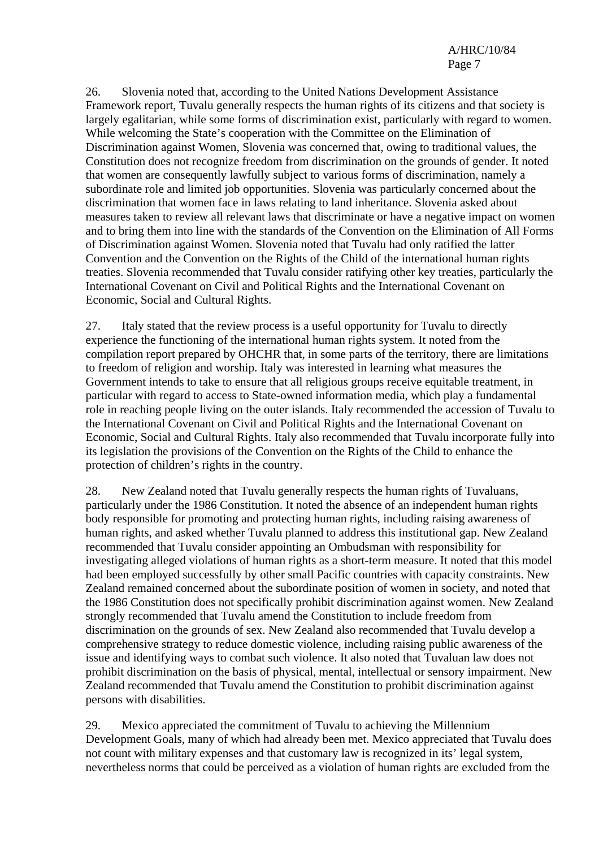26. Slovenia noted that, according to the United Nations Development Assistance Framework report, Tuvalu generally respects the human rights of its citizens and that society is largely egalitarian, while some forms of discrimination exist, particularly with regard to women. While welcoming the State's cooperation with the Committee on the Elimination of Discrimination against Women, Slovenia was concerned that, owing to traditional values, the Constitution does not recognize freedom from discrimination on the grounds of gender. It noted that women are consequently lawfully subject to various forms of discrimination, namely a subordinate role and limited job opportunities. Slovenia was particularly concerned about the discrimination that women face in laws relating to land inheritance. Slovenia asked about measures taken to review all relevant laws that discriminate or have a negative impact on women and to bring them into line with the standards of the Convention on the Elimination of All Forms of Discrimination against Women. Slovenia noted that Tuvalu had only ratified the latter Convention and the Convention on the Rights of the Child of the international human rights treaties. Slovenia recommended that Tuvalu consider ratifying other key treaties, particularly the International Covenant on Civil and Political Rights and the International Covenant on Economic, Social and Cultural Rights.

27. Italy stated that the review process is a useful opportunity for Tuvalu to directly experience the functioning of the international human rights system. It noted from the compilation report prepared by OHCHR that, in some parts of the territory, there are limitations to freedom of religion and worship. Italy was interested in learning what measures the Government intends to take to ensure that all religious groups receive equitable treatment, in particular with regard to access to State-owned information media, which play a fundamental role in reaching people living on the outer islands. Italy recommended the accession of Tuvalu to the International Covenant on Civil and Political Rights and the International Covenant on Economic, Social and Cultural Rights. Italy also recommended that Tuvalu incorporate fully into its legislation the provisions of the Convention on the Rights of the Child to enhance the protection of children's rights in the country.

28. New Zealand noted that Tuvalu generally respects the human rights of Tuvaluans, particularly under the 1986 Constitution. It noted the absence of an independent human rights body responsible for promoting and protecting human rights, including raising awareness of human rights, and asked whether Tuvalu planned to address this institutional gap. New Zealand recommended that Tuvalu consider appointing an Ombudsman with responsibility for investigating alleged violations of human rights as a short-term measure. It noted that this model had been employed successfully by other small Pacific countries with capacity constraints. New Zealand remained concerned about the subordinate position of women in society, and noted that the 1986 Constitution does not specifically prohibit discrimination against women. New Zealand strongly recommended that Tuvalu amend the Constitution to include freedom from discrimination on the grounds of sex. New Zealand also recommended that Tuvalu develop a comprehensive strategy to reduce domestic violence, including raising public awareness of the issue and identifying ways to combat such violence. It also noted that Tuvaluan law does not prohibit discrimination on the basis of physical, mental, intellectual or sensory impairment. New Zealand recommended that Tuvalu amend the Constitution to prohibit discrimination against persons with disabilities.

29. Mexico appreciated the commitment of Tuvalu to achieving the Millennium Development Goals, many of which had already been met. Mexico appreciated that Tuvalu does not count with military expenses and that customary law is recognized in its' legal system, nevertheless norms that could be perceived as a violation of human rights are excluded from the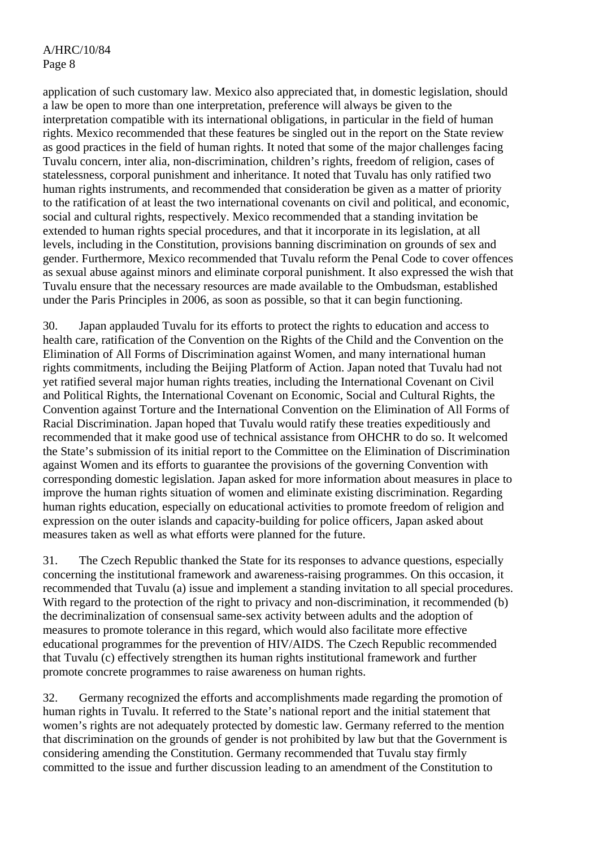application of such customary law. Mexico also appreciated that, in domestic legislation, should a law be open to more than one interpretation, preference will always be given to the interpretation compatible with its international obligations, in particular in the field of human rights. Mexico recommended that these features be singled out in the report on the State review as good practices in the field of human rights. It noted that some of the major challenges facing Tuvalu concern, inter alia, non-discrimination, children's rights, freedom of religion, cases of statelessness, corporal punishment and inheritance. It noted that Tuvalu has only ratified two human rights instruments, and recommended that consideration be given as a matter of priority to the ratification of at least the two international covenants on civil and political, and economic, social and cultural rights, respectively. Mexico recommended that a standing invitation be extended to human rights special procedures, and that it incorporate in its legislation, at all levels, including in the Constitution, provisions banning discrimination on grounds of sex and gender. Furthermore, Mexico recommended that Tuvalu reform the Penal Code to cover offences as sexual abuse against minors and eliminate corporal punishment. It also expressed the wish that Tuvalu ensure that the necessary resources are made available to the Ombudsman, established under the Paris Principles in 2006, as soon as possible, so that it can begin functioning.

30. Japan applauded Tuvalu for its efforts to protect the rights to education and access to health care, ratification of the Convention on the Rights of the Child and the Convention on the Elimination of All Forms of Discrimination against Women, and many international human rights commitments, including the Beijing Platform of Action. Japan noted that Tuvalu had not yet ratified several major human rights treaties, including the International Covenant on Civil and Political Rights, the International Covenant on Economic, Social and Cultural Rights, the Convention against Torture and the International Convention on the Elimination of All Forms of Racial Discrimination. Japan hoped that Tuvalu would ratify these treaties expeditiously and recommended that it make good use of technical assistance from OHCHR to do so. It welcomed the State's submission of its initial report to the Committee on the Elimination of Discrimination against Women and its efforts to guarantee the provisions of the governing Convention with corresponding domestic legislation. Japan asked for more information about measures in place to improve the human rights situation of women and eliminate existing discrimination. Regarding human rights education, especially on educational activities to promote freedom of religion and expression on the outer islands and capacity-building for police officers, Japan asked about measures taken as well as what efforts were planned for the future.

31. The Czech Republic thanked the State for its responses to advance questions, especially concerning the institutional framework and awareness-raising programmes. On this occasion, it recommended that Tuvalu (a) issue and implement a standing invitation to all special procedures. With regard to the protection of the right to privacy and non-discrimination, it recommended (b) the decriminalization of consensual same-sex activity between adults and the adoption of measures to promote tolerance in this regard, which would also facilitate more effective educational programmes for the prevention of HIV/AIDS. The Czech Republic recommended that Tuvalu (c) effectively strengthen its human rights institutional framework and further promote concrete programmes to raise awareness on human rights.

32. Germany recognized the efforts and accomplishments made regarding the promotion of human rights in Tuvalu. It referred to the State's national report and the initial statement that women's rights are not adequately protected by domestic law. Germany referred to the mention that discrimination on the grounds of gender is not prohibited by law but that the Government is considering amending the Constitution. Germany recommended that Tuvalu stay firmly committed to the issue and further discussion leading to an amendment of the Constitution to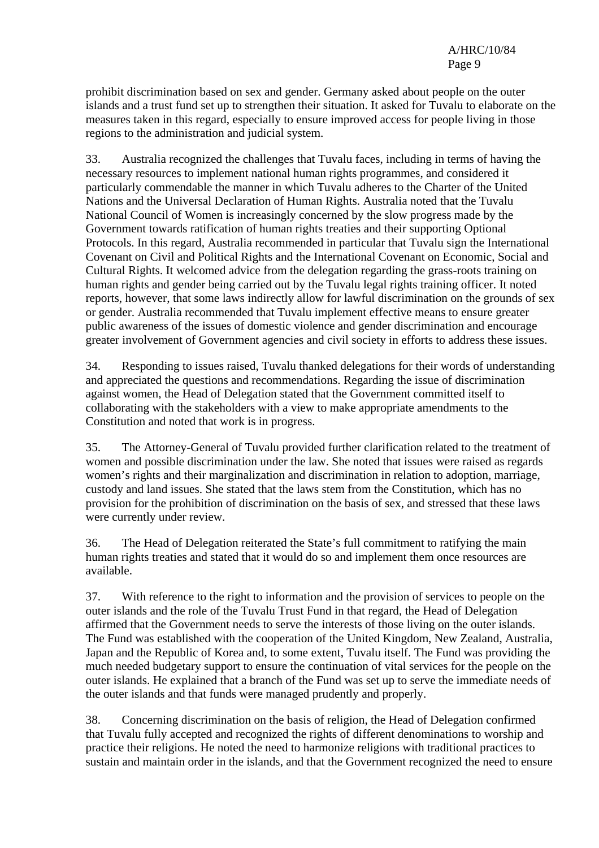prohibit discrimination based on sex and gender. Germany asked about people on the outer islands and a trust fund set up to strengthen their situation. It asked for Tuvalu to elaborate on the measures taken in this regard, especially to ensure improved access for people living in those regions to the administration and judicial system.

33. Australia recognized the challenges that Tuvalu faces, including in terms of having the necessary resources to implement national human rights programmes, and considered it particularly commendable the manner in which Tuvalu adheres to the Charter of the United Nations and the Universal Declaration of Human Rights. Australia noted that the Tuvalu National Council of Women is increasingly concerned by the slow progress made by the Government towards ratification of human rights treaties and their supporting Optional Protocols. In this regard, Australia recommended in particular that Tuvalu sign the International Covenant on Civil and Political Rights and the International Covenant on Economic, Social and Cultural Rights. It welcomed advice from the delegation regarding the grass-roots training on human rights and gender being carried out by the Tuvalu legal rights training officer. It noted reports, however, that some laws indirectly allow for lawful discrimination on the grounds of sex or gender. Australia recommended that Tuvalu implement effective means to ensure greater public awareness of the issues of domestic violence and gender discrimination and encourage greater involvement of Government agencies and civil society in efforts to address these issues.

34. Responding to issues raised, Tuvalu thanked delegations for their words of understanding and appreciated the questions and recommendations. Regarding the issue of discrimination against women, the Head of Delegation stated that the Government committed itself to collaborating with the stakeholders with a view to make appropriate amendments to the Constitution and noted that work is in progress.

35. The Attorney-General of Tuvalu provided further clarification related to the treatment of women and possible discrimination under the law. She noted that issues were raised as regards women's rights and their marginalization and discrimination in relation to adoption, marriage, custody and land issues. She stated that the laws stem from the Constitution, which has no provision for the prohibition of discrimination on the basis of sex, and stressed that these laws were currently under review.

36. The Head of Delegation reiterated the State's full commitment to ratifying the main human rights treaties and stated that it would do so and implement them once resources are available.

37. With reference to the right to information and the provision of services to people on the outer islands and the role of the Tuvalu Trust Fund in that regard, the Head of Delegation affirmed that the Government needs to serve the interests of those living on the outer islands. The Fund was established with the cooperation of the United Kingdom, New Zealand, Australia, Japan and the Republic of Korea and, to some extent, Tuvalu itself. The Fund was providing the much needed budgetary support to ensure the continuation of vital services for the people on the outer islands. He explained that a branch of the Fund was set up to serve the immediate needs of the outer islands and that funds were managed prudently and properly.

38. Concerning discrimination on the basis of religion, the Head of Delegation confirmed that Tuvalu fully accepted and recognized the rights of different denominations to worship and practice their religions. He noted the need to harmonize religions with traditional practices to sustain and maintain order in the islands, and that the Government recognized the need to ensure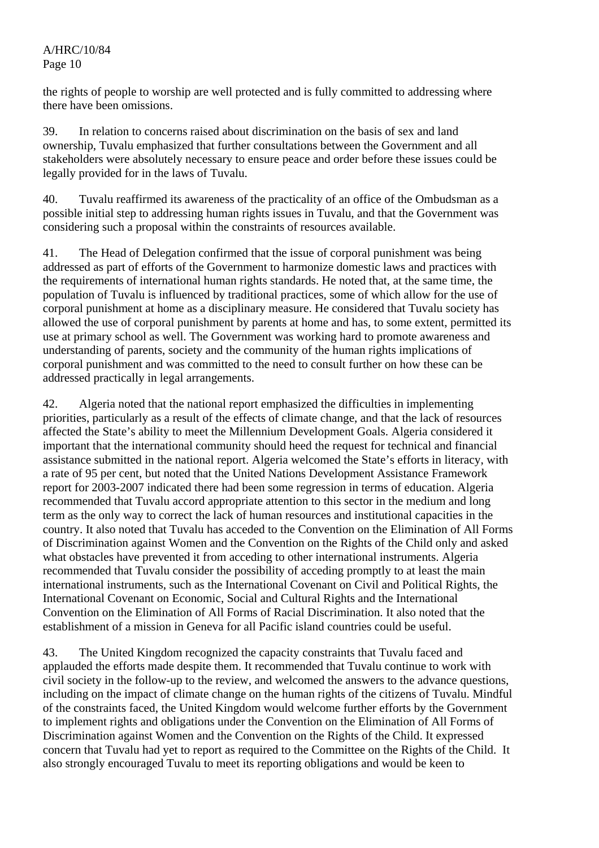the rights of people to worship are well protected and is fully committed to addressing where there have been omissions.

39. In relation to concerns raised about discrimination on the basis of sex and land ownership, Tuvalu emphasized that further consultations between the Government and all stakeholders were absolutely necessary to ensure peace and order before these issues could be legally provided for in the laws of Tuvalu.

40. Tuvalu reaffirmed its awareness of the practicality of an office of the Ombudsman as a possible initial step to addressing human rights issues in Tuvalu, and that the Government was considering such a proposal within the constraints of resources available.

41. The Head of Delegation confirmed that the issue of corporal punishment was being addressed as part of efforts of the Government to harmonize domestic laws and practices with the requirements of international human rights standards. He noted that, at the same time, the population of Tuvalu is influenced by traditional practices, some of which allow for the use of corporal punishment at home as a disciplinary measure. He considered that Tuvalu society has allowed the use of corporal punishment by parents at home and has, to some extent, permitted its use at primary school as well. The Government was working hard to promote awareness and understanding of parents, society and the community of the human rights implications of corporal punishment and was committed to the need to consult further on how these can be addressed practically in legal arrangements.

42. Algeria noted that the national report emphasized the difficulties in implementing priorities, particularly as a result of the effects of climate change, and that the lack of resources affected the State's ability to meet the Millennium Development Goals. Algeria considered it important that the international community should heed the request for technical and financial assistance submitted in the national report. Algeria welcomed the State's efforts in literacy, with a rate of 95 per cent, but noted that the United Nations Development Assistance Framework report for 2003-2007 indicated there had been some regression in terms of education. Algeria recommended that Tuvalu accord appropriate attention to this sector in the medium and long term as the only way to correct the lack of human resources and institutional capacities in the country. It also noted that Tuvalu has acceded to the Convention on the Elimination of All Forms of Discrimination against Women and the Convention on the Rights of the Child only and asked what obstacles have prevented it from acceding to other international instruments. Algeria recommended that Tuvalu consider the possibility of acceding promptly to at least the main international instruments, such as the International Covenant on Civil and Political Rights, the International Covenant on Economic, Social and Cultural Rights and the International Convention on the Elimination of All Forms of Racial Discrimination. It also noted that the establishment of a mission in Geneva for all Pacific island countries could be useful.

43. The United Kingdom recognized the capacity constraints that Tuvalu faced and applauded the efforts made despite them. It recommended that Tuvalu continue to work with civil society in the follow-up to the review, and welcomed the answers to the advance questions, including on the impact of climate change on the human rights of the citizens of Tuvalu. Mindful of the constraints faced, the United Kingdom would welcome further efforts by the Government to implement rights and obligations under the Convention on the Elimination of All Forms of Discrimination against Women and the Convention on the Rights of the Child. It expressed concern that Tuvalu had yet to report as required to the Committee on the Rights of the Child. It also strongly encouraged Tuvalu to meet its reporting obligations and would be keen to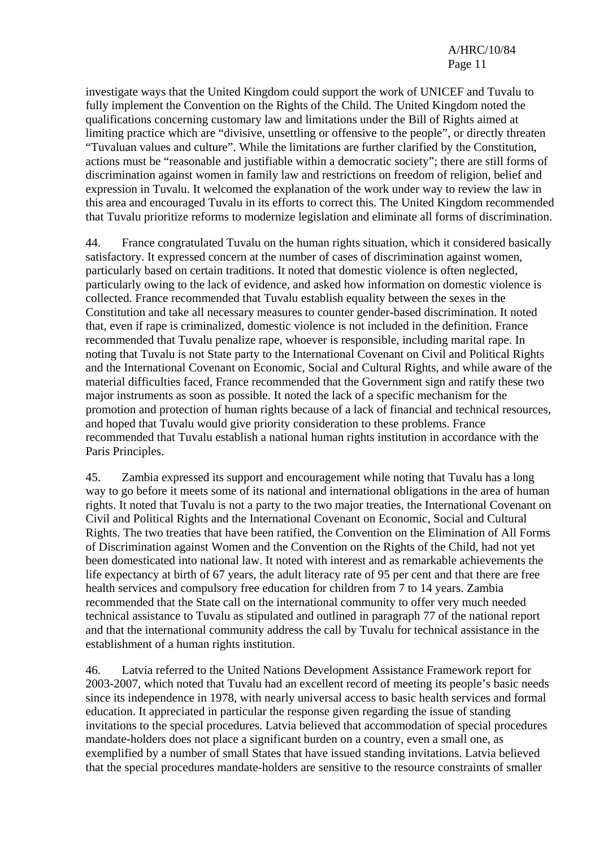investigate ways that the United Kingdom could support the work of UNICEF and Tuvalu to fully implement the Convention on the Rights of the Child. The United Kingdom noted the qualifications concerning customary law and limitations under the Bill of Rights aimed at limiting practice which are "divisive, unsettling or offensive to the people", or directly threaten "Tuvaluan values and culture". While the limitations are further clarified by the Constitution, actions must be "reasonable and justifiable within a democratic society"; there are still forms of discrimination against women in family law and restrictions on freedom of religion, belief and expression in Tuvalu. It welcomed the explanation of the work under way to review the law in this area and encouraged Tuvalu in its efforts to correct this. The United Kingdom recommended that Tuvalu prioritize reforms to modernize legislation and eliminate all forms of discrimination.

44. France congratulated Tuvalu on the human rights situation, which it considered basically satisfactory. It expressed concern at the number of cases of discrimination against women, particularly based on certain traditions. It noted that domestic violence is often neglected, particularly owing to the lack of evidence, and asked how information on domestic violence is collected. France recommended that Tuvalu establish equality between the sexes in the Constitution and take all necessary measures to counter gender-based discrimination. It noted that, even if rape is criminalized, domestic violence is not included in the definition. France recommended that Tuvalu penalize rape, whoever is responsible, including marital rape. In noting that Tuvalu is not State party to the International Covenant on Civil and Political Rights and the International Covenant on Economic, Social and Cultural Rights, and while aware of the material difficulties faced, France recommended that the Government sign and ratify these two major instruments as soon as possible. It noted the lack of a specific mechanism for the promotion and protection of human rights because of a lack of financial and technical resources, and hoped that Tuvalu would give priority consideration to these problems. France recommended that Tuvalu establish a national human rights institution in accordance with the Paris Principles.

45. Zambia expressed its support and encouragement while noting that Tuvalu has a long way to go before it meets some of its national and international obligations in the area of human rights. It noted that Tuvalu is not a party to the two major treaties, the International Covenant on Civil and Political Rights and the International Covenant on Economic, Social and Cultural Rights. The two treaties that have been ratified, the Convention on the Elimination of All Forms of Discrimination against Women and the Convention on the Rights of the Child, had not yet been domesticated into national law. It noted with interest and as remarkable achievements the life expectancy at birth of 67 years, the adult literacy rate of 95 per cent and that there are free health services and compulsory free education for children from 7 to 14 years. Zambia recommended that the State call on the international community to offer very much needed technical assistance to Tuvalu as stipulated and outlined in paragraph 77 of the national report and that the international community address the call by Tuvalu for technical assistance in the establishment of a human rights institution.

46. Latvia referred to the United Nations Development Assistance Framework report for 2003-2007, which noted that Tuvalu had an excellent record of meeting its people's basic needs since its independence in 1978, with nearly universal access to basic health services and formal education. It appreciated in particular the response given regarding the issue of standing invitations to the special procedures. Latvia believed that accommodation of special procedures mandate-holders does not place a significant burden on a country, even a small one, as exemplified by a number of small States that have issued standing invitations. Latvia believed that the special procedures mandate-holders are sensitive to the resource constraints of smaller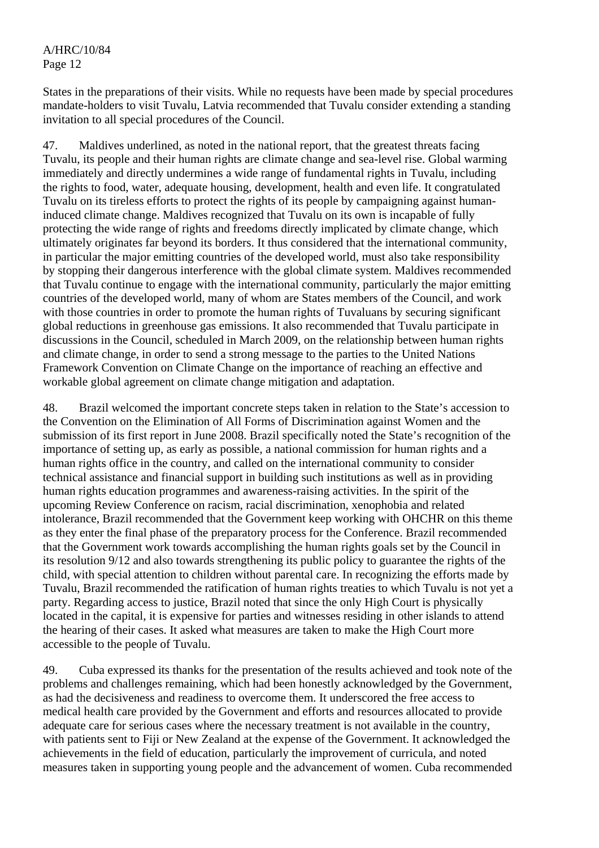States in the preparations of their visits. While no requests have been made by special procedures mandate-holders to visit Tuvalu, Latvia recommended that Tuvalu consider extending a standing invitation to all special procedures of the Council.

47. Maldives underlined, as noted in the national report, that the greatest threats facing Tuvalu, its people and their human rights are climate change and sea-level rise. Global warming immediately and directly undermines a wide range of fundamental rights in Tuvalu, including the rights to food, water, adequate housing, development, health and even life. It congratulated Tuvalu on its tireless efforts to protect the rights of its people by campaigning against humaninduced climate change. Maldives recognized that Tuvalu on its own is incapable of fully protecting the wide range of rights and freedoms directly implicated by climate change, which ultimately originates far beyond its borders. It thus considered that the international community, in particular the major emitting countries of the developed world, must also take responsibility by stopping their dangerous interference with the global climate system. Maldives recommended that Tuvalu continue to engage with the international community, particularly the major emitting countries of the developed world, many of whom are States members of the Council, and work with those countries in order to promote the human rights of Tuvaluans by securing significant global reductions in greenhouse gas emissions. It also recommended that Tuvalu participate in discussions in the Council, scheduled in March 2009, on the relationship between human rights and climate change, in order to send a strong message to the parties to the United Nations Framework Convention on Climate Change on the importance of reaching an effective and workable global agreement on climate change mitigation and adaptation.

48. Brazil welcomed the important concrete steps taken in relation to the State's accession to the Convention on the Elimination of All Forms of Discrimination against Women and the submission of its first report in June 2008. Brazil specifically noted the State's recognition of the importance of setting up, as early as possible, a national commission for human rights and a human rights office in the country, and called on the international community to consider technical assistance and financial support in building such institutions as well as in providing human rights education programmes and awareness-raising activities. In the spirit of the upcoming Review Conference on racism, racial discrimination, xenophobia and related intolerance, Brazil recommended that the Government keep working with OHCHR on this theme as they enter the final phase of the preparatory process for the Conference. Brazil recommended that the Government work towards accomplishing the human rights goals set by the Council in its resolution 9/12 and also towards strengthening its public policy to guarantee the rights of the child, with special attention to children without parental care. In recognizing the efforts made by Tuvalu, Brazil recommended the ratification of human rights treaties to which Tuvalu is not yet a party. Regarding access to justice, Brazil noted that since the only High Court is physically located in the capital, it is expensive for parties and witnesses residing in other islands to attend the hearing of their cases. It asked what measures are taken to make the High Court more accessible to the people of Tuvalu.

49. Cuba expressed its thanks for the presentation of the results achieved and took note of the problems and challenges remaining, which had been honestly acknowledged by the Government, as had the decisiveness and readiness to overcome them. It underscored the free access to medical health care provided by the Government and efforts and resources allocated to provide adequate care for serious cases where the necessary treatment is not available in the country, with patients sent to Fiji or New Zealand at the expense of the Government. It acknowledged the achievements in the field of education, particularly the improvement of curricula, and noted measures taken in supporting young people and the advancement of women. Cuba recommended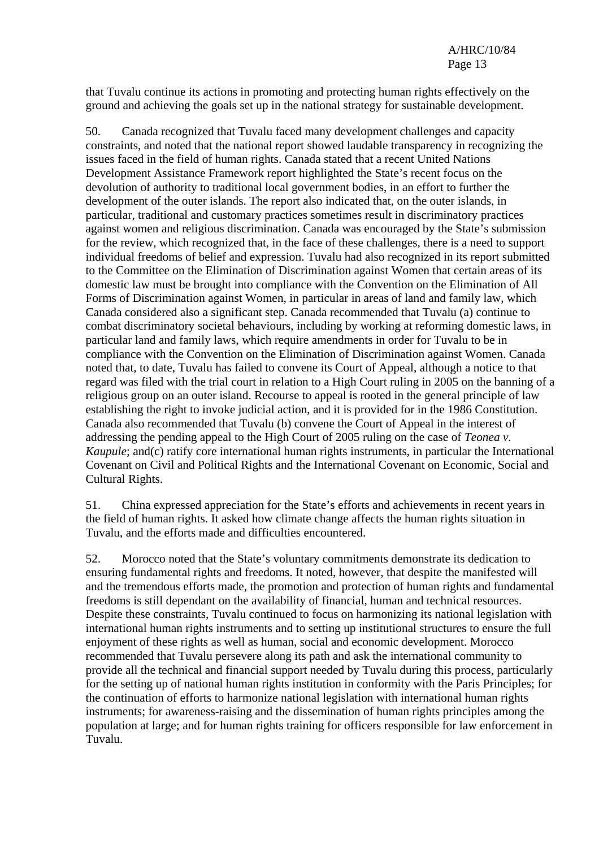that Tuvalu continue its actions in promoting and protecting human rights effectively on the ground and achieving the goals set up in the national strategy for sustainable development.

50. Canada recognized that Tuvalu faced many development challenges and capacity constraints, and noted that the national report showed laudable transparency in recognizing the issues faced in the field of human rights. Canada stated that a recent United Nations Development Assistance Framework report highlighted the State's recent focus on the devolution of authority to traditional local government bodies, in an effort to further the development of the outer islands. The report also indicated that, on the outer islands, in particular, traditional and customary practices sometimes result in discriminatory practices against women and religious discrimination. Canada was encouraged by the State's submission for the review, which recognized that, in the face of these challenges, there is a need to support individual freedoms of belief and expression. Tuvalu had also recognized in its report submitted to the Committee on the Elimination of Discrimination against Women that certain areas of its domestic law must be brought into compliance with the Convention on the Elimination of All Forms of Discrimination against Women, in particular in areas of land and family law, which Canada considered also a significant step. Canada recommended that Tuvalu (a) continue to combat discriminatory societal behaviours, including by working at reforming domestic laws, in particular land and family laws, which require amendments in order for Tuvalu to be in compliance with the Convention on the Elimination of Discrimination against Women. Canada noted that, to date, Tuvalu has failed to convene its Court of Appeal, although a notice to that regard was filed with the trial court in relation to a High Court ruling in 2005 on the banning of a religious group on an outer island. Recourse to appeal is rooted in the general principle of law establishing the right to invoke judicial action, and it is provided for in the 1986 Constitution. Canada also recommended that Tuvalu (b) convene the Court of Appeal in the interest of addressing the pending appeal to the High Court of 2005 ruling on the case of *Teonea v. Kaupule*; and(c) ratify core international human rights instruments, in particular the International Covenant on Civil and Political Rights and the International Covenant on Economic, Social and Cultural Rights.

51. China expressed appreciation for the State's efforts and achievements in recent years in the field of human rights. It asked how climate change affects the human rights situation in Tuvalu, and the efforts made and difficulties encountered.

52. Morocco noted that the State's voluntary commitments demonstrate its dedication to ensuring fundamental rights and freedoms. It noted, however, that despite the manifested will and the tremendous efforts made, the promotion and protection of human rights and fundamental freedoms is still dependant on the availability of financial, human and technical resources. Despite these constraints, Tuvalu continued to focus on harmonizing its national legislation with international human rights instruments and to setting up institutional structures to ensure the full enjoyment of these rights as well as human, social and economic development. Morocco recommended that Tuvalu persevere along its path and ask the international community to provide all the technical and financial support needed by Tuvalu during this process, particularly for the setting up of national human rights institution in conformity with the Paris Principles; for the continuation of efforts to harmonize national legislation with international human rights instruments; for awareness-raising and the dissemination of human rights principles among the population at large; and for human rights training for officers responsible for law enforcement in Tuvalu.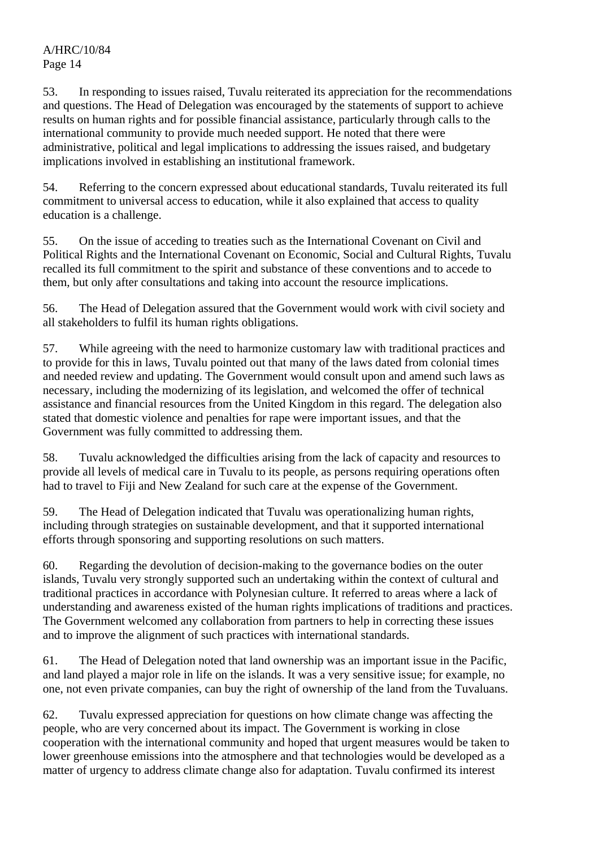53. In responding to issues raised, Tuvalu reiterated its appreciation for the recommendations and questions. The Head of Delegation was encouraged by the statements of support to achieve results on human rights and for possible financial assistance, particularly through calls to the international community to provide much needed support. He noted that there were administrative, political and legal implications to addressing the issues raised, and budgetary implications involved in establishing an institutional framework.

54. Referring to the concern expressed about educational standards, Tuvalu reiterated its full commitment to universal access to education, while it also explained that access to quality education is a challenge.

55. On the issue of acceding to treaties such as the International Covenant on Civil and Political Rights and the International Covenant on Economic, Social and Cultural Rights, Tuvalu recalled its full commitment to the spirit and substance of these conventions and to accede to them, but only after consultations and taking into account the resource implications.

56. The Head of Delegation assured that the Government would work with civil society and all stakeholders to fulfil its human rights obligations.

57. While agreeing with the need to harmonize customary law with traditional practices and to provide for this in laws, Tuvalu pointed out that many of the laws dated from colonial times and needed review and updating. The Government would consult upon and amend such laws as necessary, including the modernizing of its legislation, and welcomed the offer of technical assistance and financial resources from the United Kingdom in this regard. The delegation also stated that domestic violence and penalties for rape were important issues, and that the Government was fully committed to addressing them.

58. Tuvalu acknowledged the difficulties arising from the lack of capacity and resources to provide all levels of medical care in Tuvalu to its people, as persons requiring operations often had to travel to Fiji and New Zealand for such care at the expense of the Government.

59. The Head of Delegation indicated that Tuvalu was operationalizing human rights, including through strategies on sustainable development, and that it supported international efforts through sponsoring and supporting resolutions on such matters.

60. Regarding the devolution of decision-making to the governance bodies on the outer islands, Tuvalu very strongly supported such an undertaking within the context of cultural and traditional practices in accordance with Polynesian culture. It referred to areas where a lack of understanding and awareness existed of the human rights implications of traditions and practices. The Government welcomed any collaboration from partners to help in correcting these issues and to improve the alignment of such practices with international standards.

61. The Head of Delegation noted that land ownership was an important issue in the Pacific, and land played a major role in life on the islands. It was a very sensitive issue; for example, no one, not even private companies, can buy the right of ownership of the land from the Tuvaluans.

62. Tuvalu expressed appreciation for questions on how climate change was affecting the people, who are very concerned about its impact. The Government is working in close cooperation with the international community and hoped that urgent measures would be taken to lower greenhouse emissions into the atmosphere and that technologies would be developed as a matter of urgency to address climate change also for adaptation. Tuvalu confirmed its interest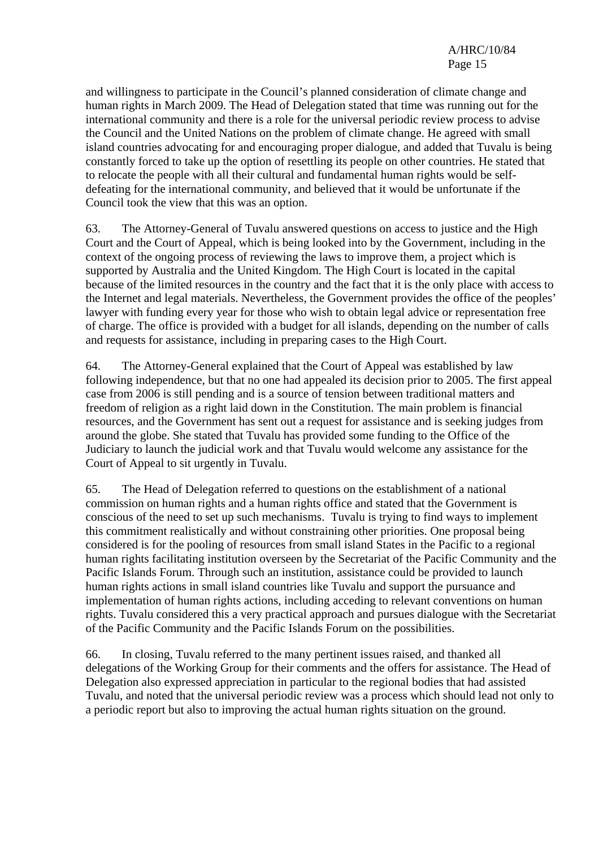and willingness to participate in the Council's planned consideration of climate change and human rights in March 2009. The Head of Delegation stated that time was running out for the international community and there is a role for the universal periodic review process to advise the Council and the United Nations on the problem of climate change. He agreed with small island countries advocating for and encouraging proper dialogue, and added that Tuvalu is being constantly forced to take up the option of resettling its people on other countries. He stated that to relocate the people with all their cultural and fundamental human rights would be selfdefeating for the international community, and believed that it would be unfortunate if the Council took the view that this was an option.

63. The Attorney-General of Tuvalu answered questions on access to justice and the High Court and the Court of Appeal, which is being looked into by the Government, including in the context of the ongoing process of reviewing the laws to improve them, a project which is supported by Australia and the United Kingdom. The High Court is located in the capital because of the limited resources in the country and the fact that it is the only place with access to the Internet and legal materials. Nevertheless, the Government provides the office of the peoples' lawyer with funding every year for those who wish to obtain legal advice or representation free of charge. The office is provided with a budget for all islands, depending on the number of calls and requests for assistance, including in preparing cases to the High Court.

64. The Attorney-General explained that the Court of Appeal was established by law following independence, but that no one had appealed its decision prior to 2005. The first appeal case from 2006 is still pending and is a source of tension between traditional matters and freedom of religion as a right laid down in the Constitution. The main problem is financial resources, and the Government has sent out a request for assistance and is seeking judges from around the globe. She stated that Tuvalu has provided some funding to the Office of the Judiciary to launch the judicial work and that Tuvalu would welcome any assistance for the Court of Appeal to sit urgently in Tuvalu.

65. The Head of Delegation referred to questions on the establishment of a national commission on human rights and a human rights office and stated that the Government is conscious of the need to set up such mechanisms. Tuvalu is trying to find ways to implement this commitment realistically and without constraining other priorities. One proposal being considered is for the pooling of resources from small island States in the Pacific to a regional human rights facilitating institution overseen by the Secretariat of the Pacific Community and the Pacific Islands Forum. Through such an institution, assistance could be provided to launch human rights actions in small island countries like Tuvalu and support the pursuance and implementation of human rights actions, including acceding to relevant conventions on human rights. Tuvalu considered this a very practical approach and pursues dialogue with the Secretariat of the Pacific Community and the Pacific Islands Forum on the possibilities.

66. In closing, Tuvalu referred to the many pertinent issues raised, and thanked all delegations of the Working Group for their comments and the offers for assistance. The Head of Delegation also expressed appreciation in particular to the regional bodies that had assisted Tuvalu, and noted that the universal periodic review was a process which should lead not only to a periodic report but also to improving the actual human rights situation on the ground.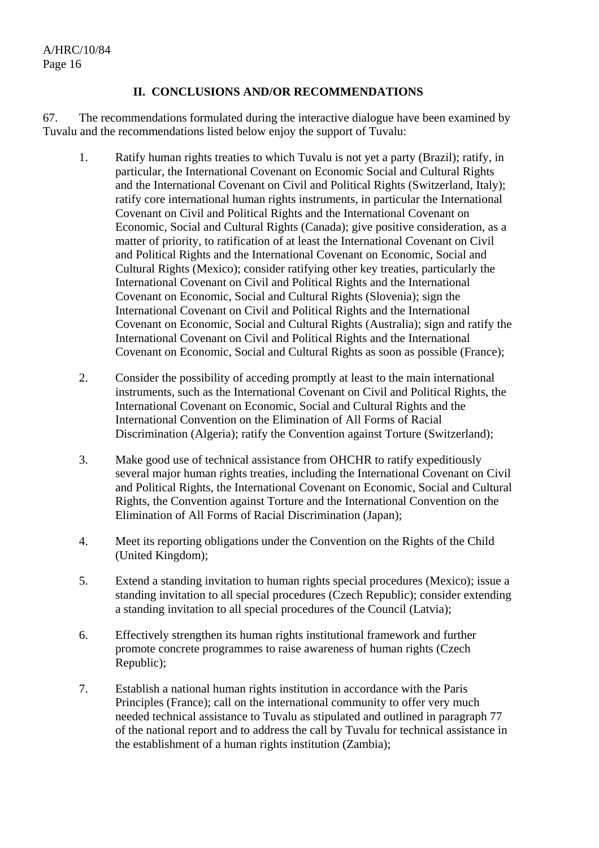#### **II. CONCLUSIONS AND/OR RECOMMENDATIONS**

67. The recommendations formulated during the interactive dialogue have been examined by Tuvalu and the recommendations listed below enjoy the support of Tuvalu:

- 1. Ratify human rights treaties to which Tuvalu is not yet a party (Brazil); ratify, in particular, the International Covenant on Economic Social and Cultural Rights and the International Covenant on Civil and Political Rights (Switzerland, Italy); ratify core international human rights instruments, in particular the International Covenant on Civil and Political Rights and the International Covenant on Economic, Social and Cultural Rights (Canada); give positive consideration, as a matter of priority, to ratification of at least the International Covenant on Civil and Political Rights and the International Covenant on Economic, Social and Cultural Rights (Mexico); consider ratifying other key treaties, particularly the International Covenant on Civil and Political Rights and the International Covenant on Economic, Social and Cultural Rights (Slovenia); sign the International Covenant on Civil and Political Rights and the International Covenant on Economic, Social and Cultural Rights (Australia); sign and ratify the International Covenant on Civil and Political Rights and the International Covenant on Economic, Social and Cultural Rights as soon as possible (France);
- 2. Consider the possibility of acceding promptly at least to the main international instruments, such as the International Covenant on Civil and Political Rights, the International Covenant on Economic, Social and Cultural Rights and the International Convention on the Elimination of All Forms of Racial Discrimination (Algeria); ratify the Convention against Torture (Switzerland);
- 3. Make good use of technical assistance from OHCHR to ratify expeditiously several major human rights treaties, including the International Covenant on Civil and Political Rights, the International Covenant on Economic, Social and Cultural Rights, the Convention against Torture and the International Convention on the Elimination of All Forms of Racial Discrimination (Japan);
- 4. Meet its reporting obligations under the Convention on the Rights of the Child (United Kingdom);
- 5. Extend a standing invitation to human rights special procedures (Mexico); issue a standing invitation to all special procedures (Czech Republic); consider extending a standing invitation to all special procedures of the Council (Latvia);
- 6. Effectively strengthen its human rights institutional framework and further promote concrete programmes to raise awareness of human rights (Czech Republic);
- 7. Establish a national human rights institution in accordance with the Paris Principles (France); call on the international community to offer very much needed technical assistance to Tuvalu as stipulated and outlined in paragraph 77 of the national report and to address the call by Tuvalu for technical assistance in the establishment of a human rights institution (Zambia);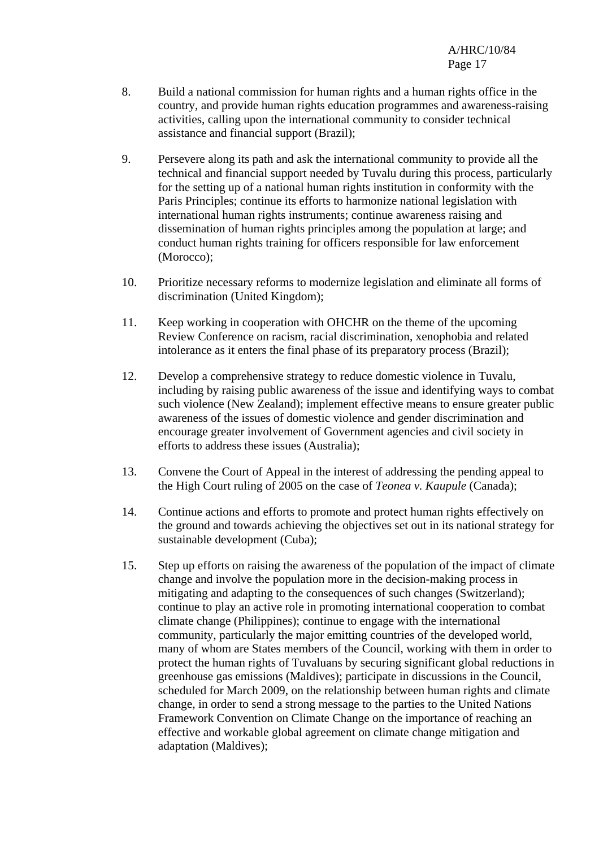- 8. Build a national commission for human rights and a human rights office in the country, and provide human rights education programmes and awareness-raising activities, calling upon the international community to consider technical assistance and financial support (Brazil);
- 9. Persevere along its path and ask the international community to provide all the technical and financial support needed by Tuvalu during this process, particularly for the setting up of a national human rights institution in conformity with the Paris Principles; continue its efforts to harmonize national legislation with international human rights instruments; continue awareness raising and dissemination of human rights principles among the population at large; and conduct human rights training for officers responsible for law enforcement (Morocco);
- 10. Prioritize necessary reforms to modernize legislation and eliminate all forms of discrimination (United Kingdom);
- 11. Keep working in cooperation with OHCHR on the theme of the upcoming Review Conference on racism, racial discrimination, xenophobia and related intolerance as it enters the final phase of its preparatory process (Brazil);
- 12. Develop a comprehensive strategy to reduce domestic violence in Tuvalu, including by raising public awareness of the issue and identifying ways to combat such violence (New Zealand); implement effective means to ensure greater public awareness of the issues of domestic violence and gender discrimination and encourage greater involvement of Government agencies and civil society in efforts to address these issues (Australia);
- 13. Convene the Court of Appeal in the interest of addressing the pending appeal to the High Court ruling of 2005 on the case of *Teonea v. Kaupule* (Canada);
- 14. Continue actions and efforts to promote and protect human rights effectively on the ground and towards achieving the objectives set out in its national strategy for sustainable development (Cuba);
- 15. Step up efforts on raising the awareness of the population of the impact of climate change and involve the population more in the decision-making process in mitigating and adapting to the consequences of such changes (Switzerland); continue to play an active role in promoting international cooperation to combat climate change (Philippines); continue to engage with the international community, particularly the major emitting countries of the developed world, many of whom are States members of the Council, working with them in order to protect the human rights of Tuvaluans by securing significant global reductions in greenhouse gas emissions (Maldives); participate in discussions in the Council, scheduled for March 2009, on the relationship between human rights and climate change, in order to send a strong message to the parties to the United Nations Framework Convention on Climate Change on the importance of reaching an effective and workable global agreement on climate change mitigation and adaptation (Maldives);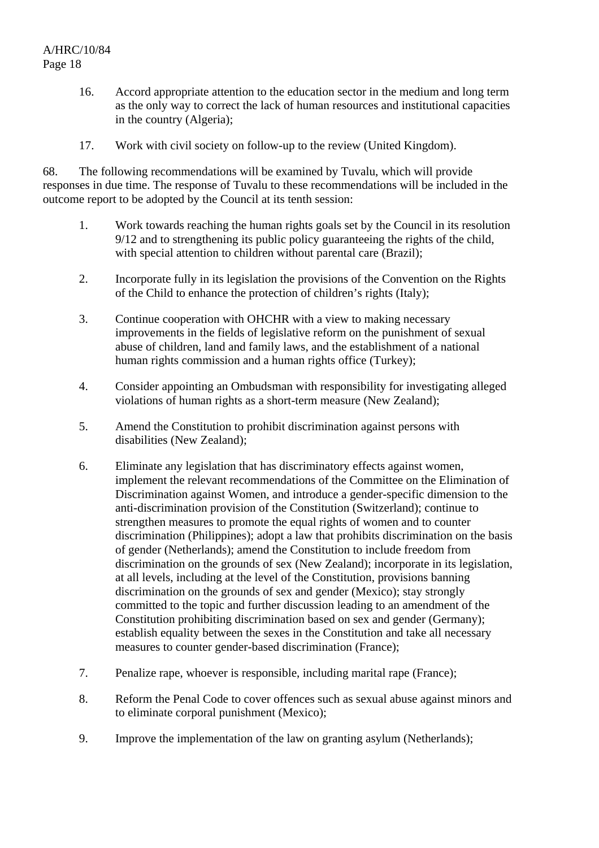- 16. Accord appropriate attention to the education sector in the medium and long term as the only way to correct the lack of human resources and institutional capacities in the country (Algeria);
- 17. Work with civil society on follow-up to the review (United Kingdom).

68. The following recommendations will be examined by Tuvalu, which will provide responses in due time. The response of Tuvalu to these recommendations will be included in the outcome report to be adopted by the Council at its tenth session:

- 1. Work towards reaching the human rights goals set by the Council in its resolution 9/12 and to strengthening its public policy guaranteeing the rights of the child, with special attention to children without parental care (Brazil);
- 2. Incorporate fully in its legislation the provisions of the Convention on the Rights of the Child to enhance the protection of children's rights (Italy);
- 3. Continue cooperation with OHCHR with a view to making necessary improvements in the fields of legislative reform on the punishment of sexual abuse of children, land and family laws, and the establishment of a national human rights commission and a human rights office (Turkey);
- 4. Consider appointing an Ombudsman with responsibility for investigating alleged violations of human rights as a short-term measure (New Zealand);
- 5. Amend the Constitution to prohibit discrimination against persons with disabilities (New Zealand);
- 6. Eliminate any legislation that has discriminatory effects against women, implement the relevant recommendations of the Committee on the Elimination of Discrimination against Women, and introduce a gender-specific dimension to the anti-discrimination provision of the Constitution (Switzerland); continue to strengthen measures to promote the equal rights of women and to counter discrimination (Philippines); adopt a law that prohibits discrimination on the basis of gender (Netherlands); amend the Constitution to include freedom from discrimination on the grounds of sex (New Zealand); incorporate in its legislation, at all levels, including at the level of the Constitution, provisions banning discrimination on the grounds of sex and gender (Mexico); stay strongly committed to the topic and further discussion leading to an amendment of the Constitution prohibiting discrimination based on sex and gender (Germany); establish equality between the sexes in the Constitution and take all necessary measures to counter gender-based discrimination (France);
- 7. Penalize rape, whoever is responsible, including marital rape (France);
- 8. Reform the Penal Code to cover offences such as sexual abuse against minors and to eliminate corporal punishment (Mexico);
- 9. Improve the implementation of the law on granting asylum (Netherlands);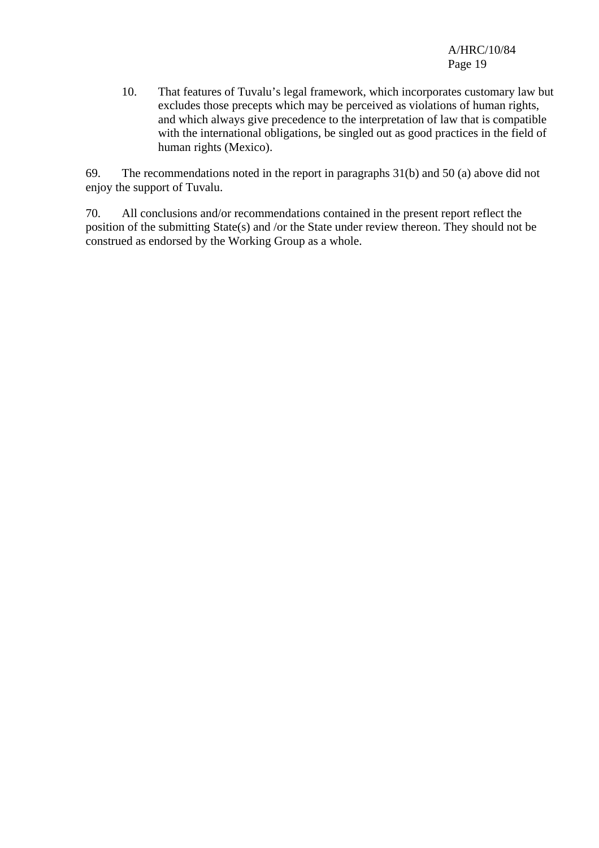10. That features of Tuvalu's legal framework, which incorporates customary law but excludes those precepts which may be perceived as violations of human rights, and which always give precedence to the interpretation of law that is compatible with the international obligations, be singled out as good practices in the field of human rights (Mexico).

69. The recommendations noted in the report in paragraphs 31(b) and 50 (a) above did not enjoy the support of Tuvalu.

70. All conclusions and/or recommendations contained in the present report reflect the position of the submitting State(s) and /or the State under review thereon. They should not be construed as endorsed by the Working Group as a whole.